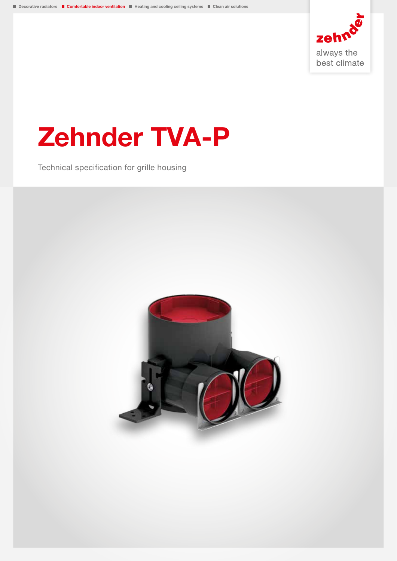

# Zehnder TVA-P

Technical specification for grille housing

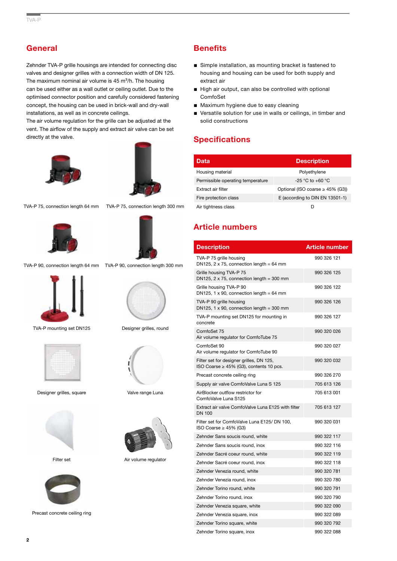## **General**

Zehnder TVA-P grille housings are intended for connecting disc valves and designer grilles with a connection width of DN 125. The maximum nominal air volume is  $45 \text{ m}^3/h$ . The housing can be used either as a wall outlet or ceiling outlet. Due to the optimised connector position and carefully considered fastening concept, the housing can be used in brick-wall and dry-wall installations, as well as in concrete ceilings.

The air volume regulation for the grille can be adjusted at the vent. The airflow of the supply and extract air valve can be set directly at the valve.





TVA-P 75, connection length 64 mm TVA-P 75, connection length 300 mm





TVA-P 90, connection length 64 mm TVA-P 90, connection length 300 mm



TVA-P mounting set DN125 Designer grilles, round



Designer grilles, square Valve range Luna



Filter set Air volume regulator



Precast concrete ceiling ring

# **Benefits**

- Simple installation, as mounting bracket is fastened to housing and housing can be used for both supply and extract air
- High air output, can also be controlled with optional ComfoSet
- Maximum hygiene due to easy cleaning
- Versatile solution for use in walls or ceilings, in timber and solid constructions

## **Specifications**

| Data                              | <b>Description</b>                    |
|-----------------------------------|---------------------------------------|
| Housing material                  | Polyethylene                          |
| Permissible operating temperature | $-25$ °C to $+60$ °C                  |
| Extract air filter                | Optional (ISO coarse $\geq$ 45% (G3)) |
| Fire protection class             | E (according to DIN EN 13501-1)       |
| Air tightness class               | D                                     |

## Article numbers

| <b>Description</b>                                                                       | <b>Article number</b> |
|------------------------------------------------------------------------------------------|-----------------------|
| TVA-P 75 grille housing<br>DN125, $2 \times 75$ , connection length = 64 mm              | 990 326 121           |
| Grille housing TVA-P 75<br>DN125, $2 \times 75$ , connection length = 300 mm             | 990 326 125           |
| Grille housing TVA-P 90<br>DN125, 1 $\times$ 90, connection length = 64 mm               | 990 326 122           |
| TVA-P 90 grille housing<br>DN125, 1 $\times$ 90, connection length = 300 mm              | 990 326 126           |
| TVA-P mounting set DN125 for mounting in<br>concrete                                     | 990 326 127           |
| ComfoSet 75<br>Air volume regulator for ComfoTube 75                                     | 990 320 026           |
| ComfoSet 90<br>Air volume regulator for ComfoTube 90                                     | 990 320 027           |
| Filter set for designer grilles, DN 125,<br>ISO Coarse $\geq$ 45% (G3), contents 10 pcs. | 990 320 032           |
| Precast concrete ceiling ring                                                            | 990 326 270           |
| Supply air valve ComfoValve Luna S 125                                                   | 705 613 126           |
| AirBlocker outflow restrictor for<br>ComfoValve Luna S125                                | 705 613 001           |
| Extract air valve ComfoValve Luna E125 with filter<br><b>DN 100</b>                      | 705 613 127           |
| Filter set for ComfoValve Luna E125/ DN 100,<br>ISO Coarse $\geq$ 45% (G3)               | 990 320 031           |
| Zehnder Sans soucis round, white                                                         | 990 322 117           |
| Zehnder Sans soucis round, inox                                                          | 990 322 116           |
| Zehnder Sacré coeur round, white                                                         | 990 322 119           |
| Zehnder Sacré coeur round, inox                                                          | 990 322 118           |
| Zehnder Venezia round, white                                                             | 990 320 781           |
| Zehnder Venezia round, inox                                                              | 990 320 780           |
| Zehnder Torino round, white                                                              | 990 320 791           |
| Zehnder Torino round, inox                                                               | 990 320 790           |
| Zehnder Venezia square, white                                                            | 990 322 090           |
| Zehnder Venezia square, inox                                                             | 990 322 089           |
| Zehnder Torino square, white                                                             | 990 320 792           |
| Zehnder Torino square, inox                                                              | 990 322 088           |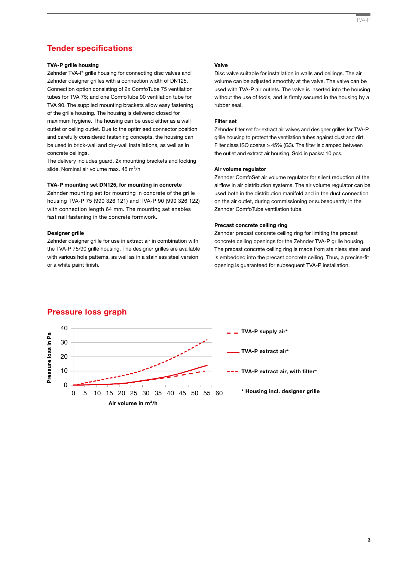### Tender specifications

#### TVA-P grille housing

Zehnder TVA-P grille housing for connecting disc valves and Zehnder designer grilles with a connection width of DN125. Connection option consisting of 2x ComfoTube 75 ventilation tubes for TVA 75; and one ComfoTube 90 ventilation tube for TVA 90. The supplied mounting brackets allow easy fastening of the grille housing. The housing is delivered closed for maximum hygiene. The housing can be used either as a wall outlet or ceiling outlet. Due to the optimised connector position and carefully considered fastening concepts, the housing can be used in brick-wall and dry-wall installations, as well as in concrete ceilings.

The delivery includes guard, 2x mounting brackets and locking slide. Nominal air volume max.  $45 \text{ m}^3/\text{h}$ 

#### TVA-P mounting set DN125, for mounting in concrete

Zehnder mounting set for mounting in concrete of the grille housing TVA-P 75 (990 326 121) and TVA-P 90 (990 326 122) with connection length 64 mm. The mounting set enables fast nail fastening in the concrete formwork.

#### Designer grille

Zehnder designer grille for use in extract air in combination with the TVA-P 75/90 grille housing. The designer grilles are available with various hole patterns, as well as in a stainless steel version or a white paint finish.

#### Valve

Disc valve suitable for installation in walls and ceilings. The air volume can be adjusted smoothly at the valve. The valve can be used with TVA-P air outlets. The valve is inserted into the housing without the use of tools, and is firmly secured in the housing by a rubber seal.

#### Filter set

Zehnder filter set for extract air valves and designer grilles for TVA-P grille housing to protect the ventilation tubes against dust and dirt. Filter class ISO coarse  $\geq$  45% (G3). The filter is clamped between the outlet and extract air housing. Sold in packs: 10 pcs.

#### Air volume regulator

Zehnder ComfoSet air volume regulator for silent reduction of the airflow in air distribution systems. The air volume regulator can be used both in the distribution manifold and in the duct connection on the air outlet, during commissioning or subsequently in the Zehnder ComfoTube ventilation tube.

#### Precast concrete ceiling ring

Zehnder precast concrete ceiling ring for limiting the precast concrete ceiling openings for the Zehnder TVA-P grille housing. The precast concrete ceiling ring is made from stainless steel and is embedded into the precast concrete ceiling. Thus, a precise-fit opening is guaranteed for subsequent TVA-P installation.



#### Pressure loss graph